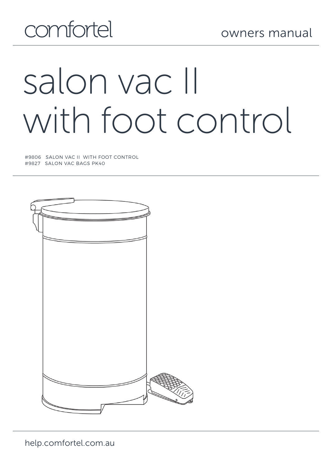## comfortel

# salon vac II with foot control

#9806 SALON VAC II WITH FOOT CONTROL #9827 SALON VAC BAGS PK40

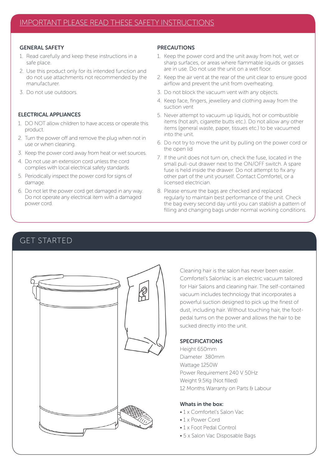#### GENERAL SAFETY

- 1. Read carefully and keep these instructions in a safe place.
- 2. Use this product only for its intended function and do not use attachments not recommended by the manufacturer.
- 3. Do not use outdoors.

#### ELECTRICAL APPLIANCES

- 1. DO NOT allow children to have access or operate this product.
- 2. Turn the power off and remove the plug when not in use or when cleaning.
- 3. Keep the power cord away from heat or wet sources.
- 4. Do not use an extension cord unless the cord complies with local electrical safety standards.
- 5. Periodically inspect the power cord for signs of damage.
- 6. Do not let the power cord get damaged in any way. Do not operate any electrical item with a damaged power cord.

#### PRECAUTIONS

- 1. Keep the power cord and the unit away from hot, wet or sharp surfaces, or areas where flammable liquids or gasses are in use. Do not use the unit on a wet floor.
- 2. Keep the air vent at the rear of the unit clear to ensure good airflow and prevent the unit from overheating.
- 3. Do not block the vacuum vent with any objects.
- 4. Keep face, fingers, jewellery and clothing away from the suction vent
- 5. Never attempt to vacuum up liquids, hot or combustible items (hot ash, cigarette butts etc.). Do not allow any other items (general waste, paper, tissues etc.) to be vacuumed into the unit.
- 6. Do not try to move the unit by pulling on the power cord or the open lid
- 7. If the unit does not turn on, check the fuse, located in the small pull-out drawer next to the ON/OFF switch. A spare fuse is held inside the drawer. Do not attempt to fix any other part of the unit yourself. Contact Comfortel, or a licensed electrician.
- 8. Please ensure the bags are checked and replaced regularly to maintain best performance of the unit. Check the bag every second day until you can stablish a pattern of filling and changing bags under normal working conditions.



Cleaning hair is the salon has never been easier. Comfortel's SalonVac is an electric vacuum tailored for Hair Salons and cleaning hair. The self-contained vacuum includes technology that incorporates a powerful suction designed to pick up the finest of dust, including hair. Without touching hair, the footpedal turns on the power and allows the hair to be sucked directly into the unit.

#### SPECIFICATIONS

Height 650mm Diameter 380mm Wattage 1250W Power Requirement 240 V 50Hz Weight 9.5Kg (Not filled) 12 Months Warranty on Parts & Labour

#### Whats in the hov:

- 1 x Comfortel's Salon Vac
- 1 x Power Cord
- 1 x Foot Pedal Control
- 5 x Salon Vac Disposable Bags

#### GET STARTED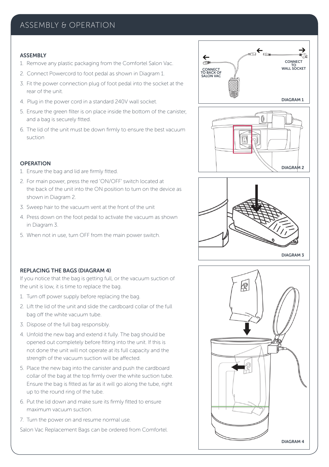#### ASSEMBLY & OPERATION

#### **ASSEMBLY**

- 1. Remove any plastic packaging from the Comfortel Salon Vac.
- 2. Connect Powercord to foot pedal as shown in Diagram 1.
- 3. Fit the power connection plug of foot pedal into the socket at the rear of the unit.
- 4. Plug in the power cord in a standard 240V wall socket.
- 5. Ensure the green filter is on place inside the bottom of the canister, and a bag is securely fitted.
- 6. The lid of the unit must be down firmly to ensure the best vacuum suction

#### **OPERATION**

- 1. Ensure the bag and lid are firmly fitted.
- 2. For main power, press the red 'ON/OFF' switch located at the back of the unit into the ON position to turn on the device as shown in Diagram 2.
- 3. Sweep hair to the vacuum vent at the front of the unit
- 4. Press down on the foot pedal to activate the vacuum as shown in Diagram 3.
- 5. When not in use, turn OFF from the main power switch.





# |@ DIAGRAM 4

#### REPLACING THE BAGS (DIAGRAM 4)

If you notice that the bag is getting full, or the vacuum suction of the unit is low, it is time to replace the bag.

- 1. Turn off power supply before replacing the bag.
- 2. Lift the lid of the unit and slide the cardboard collar of the full bag off the white vacuum tube.
- 3. Dispose of the full bag responsibly.
- 4. Unfold the new bag and extend it fully. The bag should be opened out completely before fitting into the unit. If this is not done the unit will not operate at its full capacity and the strength of the vacuum suction will be affected.
- 5. Place the new bag into the canister and push the cardboard collar of the bag at the top firmly over the white suction tube. Ensure the bag is fitted as far as it will go along the tube, right up to the round ring of the tube.
- 6. Put the lid down and make sure its firmly fitted to ensure maximum vacuum suction.
- 7. Turn the power on and resume normal use.

Salon Vac Replacement Bags can be ordered from Comfortel.